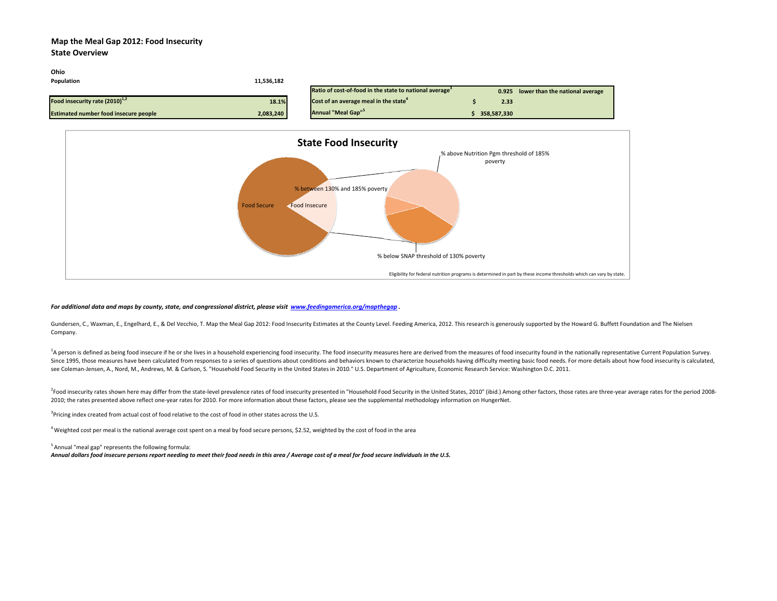### **Map the Meal Gap 2012: Food Insecurity**

#### **State Overview**



#### For additional data and maps by county, state, and congressional district, please visit www.<u>feedingamerica.org/mapthegap</u> .

Gundersen, C., Waxman, E., Engelhard, E., & Del Vecchio, T. Map the Meal Gap 2012: Food Insecurity Estimates at the County Level. Feeding America, 2012. This research is generously supported by the Howard G. Buffett Founda Company.

<sup>1</sup>A person is defined as being food insecure if he or she lives in a household experiencing food insecurity. The food insecurity measures here are derived from the measures of food insecurity found in the nationally repre Since 1995, those measures have been calculated from responses to a series of questions about conditions and behaviors known to characterize households having difficulty meeting basic food needs. For more details about how see Coleman‐Jensen, A., Nord, M., Andrews, M. & Carlson, S. "Household Food Security in the United States in 2010." U.S. Department of Agriculture, Economic Research Service: Washington D.C. 2011.

<sup>2</sup>Food insecurity rates shown here may differ from the state-level prevalence rates of food insecurity presented in "Household Food Security in the United States, 2010" (ibid.) Among other factors, those rates are three-y 2010; the rates presented above reflect one-year rates for 2010. For more information about these factors, please see the supplemental methodology information on HungerNet.

<sup>3</sup>Pricing index created from actual cost of food relative to the cost of food in other states across the U.S.

<sup>4</sup> Weighted cost per meal is the national average cost spent on a meal by food secure persons, \$2.52, weighted by the cost of food in the area

<sup>5</sup> Annual "meal gap" represents the following formula:

Annual dollars food insecure persons report needing to meet their food needs in this area / Average cost of a meal for food secure individuals in the U.S.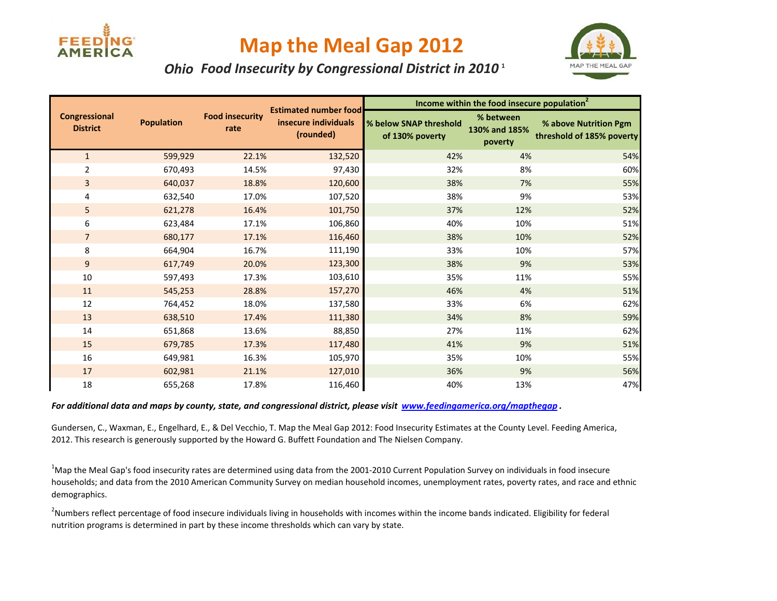

## **Map the Meal Gap 2012**



### *Ohio Food Insecurity by Congressional District in 2010* **<sup>1</sup>**

|                                         |                   |                                |                                                                   | Income within the food insecure population <sup>2</sup> |                                       |                                                    |  |
|-----------------------------------------|-------------------|--------------------------------|-------------------------------------------------------------------|---------------------------------------------------------|---------------------------------------|----------------------------------------------------|--|
| <b>Congressional</b><br><b>District</b> | <b>Population</b> | <b>Food insecurity</b><br>rate | <b>Estimated number food</b><br>insecure individuals<br>(rounded) | % below SNAP threshold<br>of 130% poverty               | % between<br>130% and 185%<br>poverty | % above Nutrition Pgm<br>threshold of 185% poverty |  |
| $\mathbf{1}$                            | 599,929           | 22.1%                          | 132,520                                                           | 42%                                                     | 4%                                    | 54%                                                |  |
| $\overline{2}$                          | 670,493           | 14.5%                          | 97,430                                                            | 32%                                                     | 8%                                    | 60%                                                |  |
| 3                                       | 640,037           | 18.8%                          | 120,600                                                           | 38%                                                     | 7%                                    | 55%                                                |  |
| 4                                       | 632,540           | 17.0%                          | 107,520                                                           | 38%                                                     | 9%                                    | 53%                                                |  |
| 5                                       | 621,278           | 16.4%                          | 101,750                                                           | 37%                                                     | 12%                                   | 52%                                                |  |
| 6                                       | 623,484           | 17.1%                          | 106,860                                                           | 40%                                                     | 10%                                   | 51%                                                |  |
| $\overline{7}$                          | 680,177           | 17.1%                          | 116,460                                                           | 38%                                                     | 10%                                   | 52%                                                |  |
| 8                                       | 664,904           | 16.7%                          | 111,190                                                           | 33%                                                     | 10%                                   | 57%                                                |  |
| 9                                       | 617,749           | 20.0%                          | 123,300                                                           | 38%                                                     | 9%                                    | 53%                                                |  |
| 10                                      | 597,493           | 17.3%                          | 103,610                                                           | 35%                                                     | 11%                                   | 55%                                                |  |
| 11                                      | 545,253           | 28.8%                          | 157,270                                                           | 46%                                                     | 4%                                    | 51%                                                |  |
| 12                                      | 764,452           | 18.0%                          | 137,580                                                           | 33%                                                     | 6%                                    | 62%                                                |  |
| 13                                      | 638,510           | 17.4%                          | 111,380                                                           | 34%                                                     | 8%                                    | 59%                                                |  |
| 14                                      | 651,868           | 13.6%                          | 88,850                                                            | 27%                                                     | 11%                                   | 62%                                                |  |
| 15                                      | 679,785           | 17.3%                          | 117,480                                                           | 41%                                                     | 9%                                    | 51%                                                |  |
| 16                                      | 649,981           | 16.3%                          | 105,970                                                           | 35%                                                     | 10%                                   | 55%                                                |  |
| 17                                      | 602,981           | 21.1%                          | 127,010                                                           | 36%                                                     | 9%                                    | 56%                                                |  |
| 18                                      | 655,268           | 17.8%                          | 116,460                                                           | 40%                                                     | 13%                                   | 47%                                                |  |

For additional data and maps by county, state, and congressional district, please visit www.<u>feedingamerica.org/mapthegap</u> .

Gundersen, C., Waxman, E., Engelhard, E., & Del Vecchio, T. Map the Meal Gap 2012: Food Insecurity Estimates at the County Level. Feeding America, 2012. This research is generously supported by the Howard G. Buffett Foundation and The Nielsen Company.

<sup>1</sup>Map the Meal Gap's food insecurity rates are determined using data from the 2001-2010 Current Population Survey on individuals in food insecure households; and data from the 2010 American Community Survey on median household incomes, unemployment rates, poverty rates, and race and ethnic demographics.

<sup>2</sup>Numbers reflect percentage of food insecure individuals living in households with incomes within the income bands indicated. Eligibility for federal nutrition programs is determined in part by these income thresholds which can vary by state.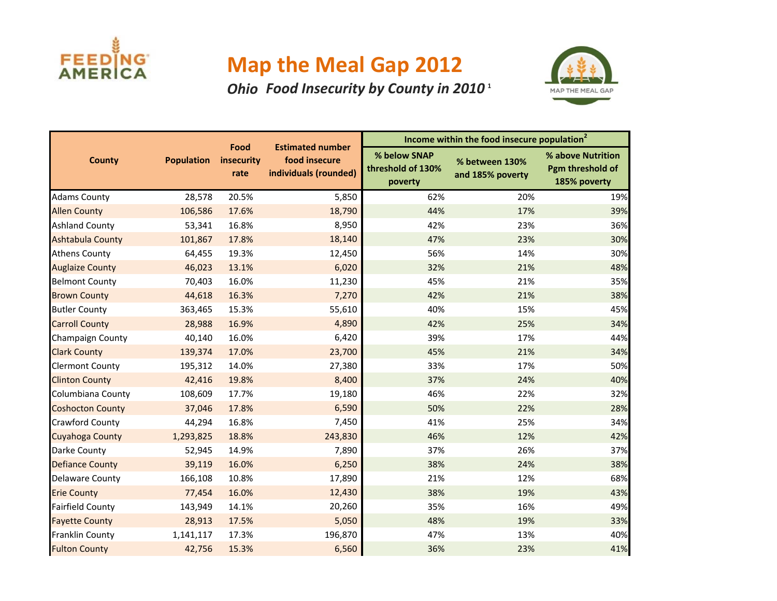

# **Map the Meal Gap 2012**

## *Ohio Food Insecurity by County in 2010* **<sup>1</sup>**



|                         |                   |                            |                                                                   | Income within the food insecure population <sup>2</sup> |                                    |                                                       |  |
|-------------------------|-------------------|----------------------------|-------------------------------------------------------------------|---------------------------------------------------------|------------------------------------|-------------------------------------------------------|--|
| <b>County</b>           | <b>Population</b> | Food<br>insecurity<br>rate | <b>Estimated number</b><br>food insecure<br>individuals (rounded) | % below SNAP<br>threshold of 130%<br>poverty            | % between 130%<br>and 185% poverty | % above Nutrition<br>Pgm threshold of<br>185% poverty |  |
| <b>Adams County</b>     | 28,578            | 20.5%                      | 5,850                                                             | 62%                                                     | 20%                                | 19%                                                   |  |
| <b>Allen County</b>     | 106,586           | 17.6%                      | 18,790                                                            | 44%                                                     | 17%                                | 39%                                                   |  |
| <b>Ashland County</b>   | 53,341            | 16.8%                      | 8,950                                                             | 42%                                                     | 23%                                | 36%                                                   |  |
| <b>Ashtabula County</b> | 101,867           | 17.8%                      | 18,140                                                            | 47%                                                     | 23%                                | 30%                                                   |  |
| <b>Athens County</b>    | 64,455            | 19.3%                      | 12,450                                                            | 56%                                                     | 14%                                | 30%                                                   |  |
| <b>Auglaize County</b>  | 46,023            | 13.1%                      | 6,020                                                             | 32%                                                     | 21%                                | 48%                                                   |  |
| <b>Belmont County</b>   | 70,403            | 16.0%                      | 11,230                                                            | 45%                                                     | 21%                                | 35%                                                   |  |
| <b>Brown County</b>     | 44,618            | 16.3%                      | 7,270                                                             | 42%                                                     | 21%                                | 38%                                                   |  |
| <b>Butler County</b>    | 363,465           | 15.3%                      | 55,610                                                            | 40%                                                     | 15%                                | 45%                                                   |  |
| <b>Carroll County</b>   | 28,988            | 16.9%                      | 4,890                                                             | 42%                                                     | 25%                                | 34%                                                   |  |
| Champaign County        | 40,140            | 16.0%                      | 6,420                                                             | 39%                                                     | 17%                                | 44%                                                   |  |
| <b>Clark County</b>     | 139,374           | 17.0%                      | 23,700                                                            | 45%                                                     | 21%                                | 34%                                                   |  |
| <b>Clermont County</b>  | 195,312           | 14.0%                      | 27,380                                                            | 33%                                                     | 17%                                | 50%                                                   |  |
| <b>Clinton County</b>   | 42,416            | 19.8%                      | 8,400                                                             | 37%                                                     | 24%                                | 40%                                                   |  |
| Columbiana County       | 108,609           | 17.7%                      | 19,180                                                            | 46%                                                     | 22%                                | 32%                                                   |  |
| <b>Coshocton County</b> | 37,046            | 17.8%                      | 6,590                                                             | 50%                                                     | 22%                                | 28%                                                   |  |
| Crawford County         | 44,294            | 16.8%                      | 7,450                                                             | 41%                                                     | 25%                                | 34%                                                   |  |
| Cuyahoga County         | 1,293,825         | 18.8%                      | 243,830                                                           | 46%                                                     | 12%                                | 42%                                                   |  |
| Darke County            | 52,945            | 14.9%                      | 7,890                                                             | 37%                                                     | 26%                                | 37%                                                   |  |
| <b>Defiance County</b>  | 39,119            | 16.0%                      | 6,250                                                             | 38%                                                     | 24%                                | 38%                                                   |  |
| <b>Delaware County</b>  | 166,108           | 10.8%                      | 17,890                                                            | 21%                                                     | 12%                                | 68%                                                   |  |
| <b>Erie County</b>      | 77,454            | 16.0%                      | 12,430                                                            | 38%                                                     | 19%                                | 43%                                                   |  |
| <b>Fairfield County</b> | 143,949           | 14.1%                      | 20,260                                                            | 35%                                                     | 16%                                | 49%                                                   |  |
| <b>Fayette County</b>   | 28,913            | 17.5%                      | 5,050                                                             | 48%                                                     | 19%                                | 33%                                                   |  |
| Franklin County         | 1,141,117         | 17.3%                      | 196,870                                                           | 47%                                                     | 13%                                | 40%                                                   |  |
| <b>Fulton County</b>    | 42,756            | 15.3%                      | 6,560                                                             | 36%                                                     | 23%                                | 41%                                                   |  |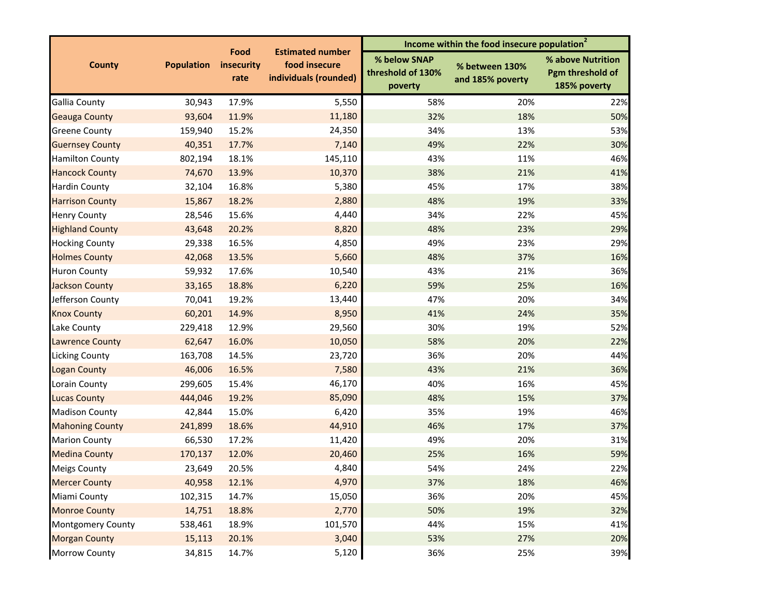| % below SNAP<br>% above Nutrition<br>food insecure<br><b>Population</b><br>insecurity<br><b>County</b><br>% between 130%<br>threshold of 130%<br>Pgm threshold of<br>individuals (rounded)<br>rate<br>and 185% poverty<br>185% poverty<br>poverty<br>30,943<br>17.9%<br>5,550<br>58%<br>20%<br>93,604<br>11.9%<br>11,180<br>32%<br>18%<br>24,350<br>34%<br>13%<br>159,940<br>15.2%<br>7,140<br>17.7%<br>49%<br>22%<br>40,351<br>18.1%<br>145,110<br>43%<br>11%<br>802,194<br>74,670<br>10,370<br>38%<br>21%<br>13.9%<br>5,380<br>16.8%<br>45%<br>17%<br>32,104<br>2,880<br>48%<br>19%<br>15,867<br>18.2%<br>34%<br>15.6%<br>4,440<br>22%<br>28,546<br>20.2%<br>8,820<br>48%<br>23%<br>43,648<br>4,850<br>29,338<br>16.5%<br>49%<br>23%<br>5,660<br>48%<br>37%<br>42,068<br>13.5%<br>10,540<br>43%<br>21%<br>59,932<br>17.6%<br>18.8%<br>6,220<br>59%<br>25%<br>33,165<br>13,440<br>19.2%<br>47%<br>20%<br>70,041<br>8,950<br>14.9%<br>41%<br>24%<br>60,201<br>30%<br>19%<br>12.9%<br>29,560<br>229,418<br>10,050<br>58%<br>20%<br>62,647<br>16.0%<br>36%<br>20%<br>163,708<br>14.5%<br>23,720<br>46,006<br>16.5%<br>7,580<br>43%<br>21%<br>299,605<br>15.4%<br>46,170<br>40%<br>16%<br>19.2%<br>85,090<br>48%<br>15%<br>444,046<br>35%<br>19%<br>42,844<br>15.0%<br>6,420<br>44,910<br>18.6%<br>46%<br>17%<br>241,899<br>66,530<br>11,420<br>49%<br>20%<br>17.2%<br>12.0%<br>20,460<br>25%<br>16%<br>170,137<br>4,840<br>20.5%<br>54%<br>24%<br>23,649<br>4,970<br>40,958<br>12.1%<br>37%<br>18%<br>15,050<br>36%<br>102,315<br>14.7%<br>20%<br>50%<br>14,751<br>18.8%<br>2,770<br>19%<br>101,570<br>44%<br>15%<br>538,461<br>18.9%<br>3,040<br>53%<br>27%<br>15,113<br>20.1%<br>5,120<br>14.7%<br>36%<br>25%<br>34,815 |                          | Food | <b>Estimated number</b> | Income within the food insecure population <sup>2</sup> |  |     |  |
|-------------------------------------------------------------------------------------------------------------------------------------------------------------------------------------------------------------------------------------------------------------------------------------------------------------------------------------------------------------------------------------------------------------------------------------------------------------------------------------------------------------------------------------------------------------------------------------------------------------------------------------------------------------------------------------------------------------------------------------------------------------------------------------------------------------------------------------------------------------------------------------------------------------------------------------------------------------------------------------------------------------------------------------------------------------------------------------------------------------------------------------------------------------------------------------------------------------------------------------------------------------------------------------------------------------------------------------------------------------------------------------------------------------------------------------------------------------------------------------------------------------------------------------------------------------------------------------------------------------------------------------------------------------------------------------------------------------------------|--------------------------|------|-------------------------|---------------------------------------------------------|--|-----|--|
|                                                                                                                                                                                                                                                                                                                                                                                                                                                                                                                                                                                                                                                                                                                                                                                                                                                                                                                                                                                                                                                                                                                                                                                                                                                                                                                                                                                                                                                                                                                                                                                                                                                                                                                         |                          |      |                         |                                                         |  |     |  |
| 50%<br>53%<br>30%<br>46%<br>41%<br>38%<br>33%<br>45%<br>29%<br>29%<br>16%<br>36%<br>16%<br>34%<br>35%<br>52%<br>22%<br>44%<br>36%<br>45%<br>37%<br>46%<br>37%<br>31%<br>59%<br>22%<br>46%<br>45%<br>32%<br>41%<br>20%<br>39%                                                                                                                                                                                                                                                                                                                                                                                                                                                                                                                                                                                                                                                                                                                                                                                                                                                                                                                                                                                                                                                                                                                                                                                                                                                                                                                                                                                                                                                                                            | <b>Gallia County</b>     |      |                         |                                                         |  | 22% |  |
|                                                                                                                                                                                                                                                                                                                                                                                                                                                                                                                                                                                                                                                                                                                                                                                                                                                                                                                                                                                                                                                                                                                                                                                                                                                                                                                                                                                                                                                                                                                                                                                                                                                                                                                         | <b>Geauga County</b>     |      |                         |                                                         |  |     |  |
|                                                                                                                                                                                                                                                                                                                                                                                                                                                                                                                                                                                                                                                                                                                                                                                                                                                                                                                                                                                                                                                                                                                                                                                                                                                                                                                                                                                                                                                                                                                                                                                                                                                                                                                         | <b>Greene County</b>     |      |                         |                                                         |  |     |  |
|                                                                                                                                                                                                                                                                                                                                                                                                                                                                                                                                                                                                                                                                                                                                                                                                                                                                                                                                                                                                                                                                                                                                                                                                                                                                                                                                                                                                                                                                                                                                                                                                                                                                                                                         | <b>Guernsey County</b>   |      |                         |                                                         |  |     |  |
|                                                                                                                                                                                                                                                                                                                                                                                                                                                                                                                                                                                                                                                                                                                                                                                                                                                                                                                                                                                                                                                                                                                                                                                                                                                                                                                                                                                                                                                                                                                                                                                                                                                                                                                         | <b>Hamilton County</b>   |      |                         |                                                         |  |     |  |
|                                                                                                                                                                                                                                                                                                                                                                                                                                                                                                                                                                                                                                                                                                                                                                                                                                                                                                                                                                                                                                                                                                                                                                                                                                                                                                                                                                                                                                                                                                                                                                                                                                                                                                                         | <b>Hancock County</b>    |      |                         |                                                         |  |     |  |
|                                                                                                                                                                                                                                                                                                                                                                                                                                                                                                                                                                                                                                                                                                                                                                                                                                                                                                                                                                                                                                                                                                                                                                                                                                                                                                                                                                                                                                                                                                                                                                                                                                                                                                                         | Hardin County            |      |                         |                                                         |  |     |  |
|                                                                                                                                                                                                                                                                                                                                                                                                                                                                                                                                                                                                                                                                                                                                                                                                                                                                                                                                                                                                                                                                                                                                                                                                                                                                                                                                                                                                                                                                                                                                                                                                                                                                                                                         | <b>Harrison County</b>   |      |                         |                                                         |  |     |  |
|                                                                                                                                                                                                                                                                                                                                                                                                                                                                                                                                                                                                                                                                                                                                                                                                                                                                                                                                                                                                                                                                                                                                                                                                                                                                                                                                                                                                                                                                                                                                                                                                                                                                                                                         | <b>Henry County</b>      |      |                         |                                                         |  |     |  |
|                                                                                                                                                                                                                                                                                                                                                                                                                                                                                                                                                                                                                                                                                                                                                                                                                                                                                                                                                                                                                                                                                                                                                                                                                                                                                                                                                                                                                                                                                                                                                                                                                                                                                                                         | <b>Highland County</b>   |      |                         |                                                         |  |     |  |
|                                                                                                                                                                                                                                                                                                                                                                                                                                                                                                                                                                                                                                                                                                                                                                                                                                                                                                                                                                                                                                                                                                                                                                                                                                                                                                                                                                                                                                                                                                                                                                                                                                                                                                                         | <b>Hocking County</b>    |      |                         |                                                         |  |     |  |
|                                                                                                                                                                                                                                                                                                                                                                                                                                                                                                                                                                                                                                                                                                                                                                                                                                                                                                                                                                                                                                                                                                                                                                                                                                                                                                                                                                                                                                                                                                                                                                                                                                                                                                                         | <b>Holmes County</b>     |      |                         |                                                         |  |     |  |
|                                                                                                                                                                                                                                                                                                                                                                                                                                                                                                                                                                                                                                                                                                                                                                                                                                                                                                                                                                                                                                                                                                                                                                                                                                                                                                                                                                                                                                                                                                                                                                                                                                                                                                                         | <b>Huron County</b>      |      |                         |                                                         |  |     |  |
|                                                                                                                                                                                                                                                                                                                                                                                                                                                                                                                                                                                                                                                                                                                                                                                                                                                                                                                                                                                                                                                                                                                                                                                                                                                                                                                                                                                                                                                                                                                                                                                                                                                                                                                         | <b>Jackson County</b>    |      |                         |                                                         |  |     |  |
|                                                                                                                                                                                                                                                                                                                                                                                                                                                                                                                                                                                                                                                                                                                                                                                                                                                                                                                                                                                                                                                                                                                                                                                                                                                                                                                                                                                                                                                                                                                                                                                                                                                                                                                         | Jefferson County         |      |                         |                                                         |  |     |  |
|                                                                                                                                                                                                                                                                                                                                                                                                                                                                                                                                                                                                                                                                                                                                                                                                                                                                                                                                                                                                                                                                                                                                                                                                                                                                                                                                                                                                                                                                                                                                                                                                                                                                                                                         | <b>Knox County</b>       |      |                         |                                                         |  |     |  |
|                                                                                                                                                                                                                                                                                                                                                                                                                                                                                                                                                                                                                                                                                                                                                                                                                                                                                                                                                                                                                                                                                                                                                                                                                                                                                                                                                                                                                                                                                                                                                                                                                                                                                                                         | Lake County              |      |                         |                                                         |  |     |  |
|                                                                                                                                                                                                                                                                                                                                                                                                                                                                                                                                                                                                                                                                                                                                                                                                                                                                                                                                                                                                                                                                                                                                                                                                                                                                                                                                                                                                                                                                                                                                                                                                                                                                                                                         | <b>Lawrence County</b>   |      |                         |                                                         |  |     |  |
|                                                                                                                                                                                                                                                                                                                                                                                                                                                                                                                                                                                                                                                                                                                                                                                                                                                                                                                                                                                                                                                                                                                                                                                                                                                                                                                                                                                                                                                                                                                                                                                                                                                                                                                         | Licking County           |      |                         |                                                         |  |     |  |
|                                                                                                                                                                                                                                                                                                                                                                                                                                                                                                                                                                                                                                                                                                                                                                                                                                                                                                                                                                                                                                                                                                                                                                                                                                                                                                                                                                                                                                                                                                                                                                                                                                                                                                                         | <b>Logan County</b>      |      |                         |                                                         |  |     |  |
|                                                                                                                                                                                                                                                                                                                                                                                                                                                                                                                                                                                                                                                                                                                                                                                                                                                                                                                                                                                                                                                                                                                                                                                                                                                                                                                                                                                                                                                                                                                                                                                                                                                                                                                         | Lorain County            |      |                         |                                                         |  |     |  |
|                                                                                                                                                                                                                                                                                                                                                                                                                                                                                                                                                                                                                                                                                                                                                                                                                                                                                                                                                                                                                                                                                                                                                                                                                                                                                                                                                                                                                                                                                                                                                                                                                                                                                                                         | <b>Lucas County</b>      |      |                         |                                                         |  |     |  |
|                                                                                                                                                                                                                                                                                                                                                                                                                                                                                                                                                                                                                                                                                                                                                                                                                                                                                                                                                                                                                                                                                                                                                                                                                                                                                                                                                                                                                                                                                                                                                                                                                                                                                                                         | <b>Madison County</b>    |      |                         |                                                         |  |     |  |
|                                                                                                                                                                                                                                                                                                                                                                                                                                                                                                                                                                                                                                                                                                                                                                                                                                                                                                                                                                                                                                                                                                                                                                                                                                                                                                                                                                                                                                                                                                                                                                                                                                                                                                                         | <b>Mahoning County</b>   |      |                         |                                                         |  |     |  |
|                                                                                                                                                                                                                                                                                                                                                                                                                                                                                                                                                                                                                                                                                                                                                                                                                                                                                                                                                                                                                                                                                                                                                                                                                                                                                                                                                                                                                                                                                                                                                                                                                                                                                                                         | <b>Marion County</b>     |      |                         |                                                         |  |     |  |
|                                                                                                                                                                                                                                                                                                                                                                                                                                                                                                                                                                                                                                                                                                                                                                                                                                                                                                                                                                                                                                                                                                                                                                                                                                                                                                                                                                                                                                                                                                                                                                                                                                                                                                                         | <b>Medina County</b>     |      |                         |                                                         |  |     |  |
|                                                                                                                                                                                                                                                                                                                                                                                                                                                                                                                                                                                                                                                                                                                                                                                                                                                                                                                                                                                                                                                                                                                                                                                                                                                                                                                                                                                                                                                                                                                                                                                                                                                                                                                         | <b>Meigs County</b>      |      |                         |                                                         |  |     |  |
|                                                                                                                                                                                                                                                                                                                                                                                                                                                                                                                                                                                                                                                                                                                                                                                                                                                                                                                                                                                                                                                                                                                                                                                                                                                                                                                                                                                                                                                                                                                                                                                                                                                                                                                         | <b>Mercer County</b>     |      |                         |                                                         |  |     |  |
|                                                                                                                                                                                                                                                                                                                                                                                                                                                                                                                                                                                                                                                                                                                                                                                                                                                                                                                                                                                                                                                                                                                                                                                                                                                                                                                                                                                                                                                                                                                                                                                                                                                                                                                         | Miami County             |      |                         |                                                         |  |     |  |
|                                                                                                                                                                                                                                                                                                                                                                                                                                                                                                                                                                                                                                                                                                                                                                                                                                                                                                                                                                                                                                                                                                                                                                                                                                                                                                                                                                                                                                                                                                                                                                                                                                                                                                                         | <b>Monroe County</b>     |      |                         |                                                         |  |     |  |
|                                                                                                                                                                                                                                                                                                                                                                                                                                                                                                                                                                                                                                                                                                                                                                                                                                                                                                                                                                                                                                                                                                                                                                                                                                                                                                                                                                                                                                                                                                                                                                                                                                                                                                                         | <b>Montgomery County</b> |      |                         |                                                         |  |     |  |
|                                                                                                                                                                                                                                                                                                                                                                                                                                                                                                                                                                                                                                                                                                                                                                                                                                                                                                                                                                                                                                                                                                                                                                                                                                                                                                                                                                                                                                                                                                                                                                                                                                                                                                                         | <b>Morgan County</b>     |      |                         |                                                         |  |     |  |
|                                                                                                                                                                                                                                                                                                                                                                                                                                                                                                                                                                                                                                                                                                                                                                                                                                                                                                                                                                                                                                                                                                                                                                                                                                                                                                                                                                                                                                                                                                                                                                                                                                                                                                                         | Morrow County            |      |                         |                                                         |  |     |  |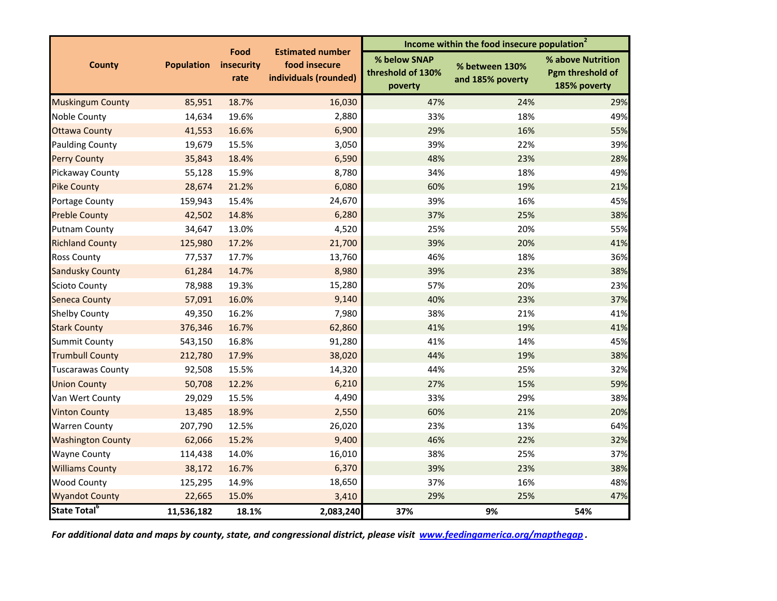|                          |                   | Food<br>insecurity<br>rate |                                                                   | Income within the food insecure population <sup>2</sup> |                                    |                                                       |  |
|--------------------------|-------------------|----------------------------|-------------------------------------------------------------------|---------------------------------------------------------|------------------------------------|-------------------------------------------------------|--|
| <b>County</b>            | <b>Population</b> |                            | <b>Estimated number</b><br>food insecure<br>individuals (rounded) | % below SNAP<br>threshold of 130%<br>poverty            | % between 130%<br>and 185% poverty | % above Nutrition<br>Pgm threshold of<br>185% poverty |  |
| <b>Muskingum County</b>  | 85,951            | 18.7%                      | 16,030                                                            | 47%                                                     | 24%                                | 29%                                                   |  |
| Noble County             | 14,634            | 19.6%                      | 2,880                                                             | 33%                                                     | 18%                                | 49%                                                   |  |
| <b>Ottawa County</b>     | 41,553            | 16.6%                      | 6,900                                                             | 29%                                                     | 16%                                | 55%                                                   |  |
| <b>Paulding County</b>   | 19,679            | 15.5%                      | 3,050                                                             | 39%                                                     | 22%                                | 39%                                                   |  |
| <b>Perry County</b>      | 35,843            | 18.4%                      | 6,590                                                             | 48%                                                     | 23%                                | 28%                                                   |  |
| Pickaway County          | 55,128            | 15.9%                      | 8,780                                                             | 34%                                                     | 18%                                | 49%                                                   |  |
| <b>Pike County</b>       | 28,674            | 21.2%                      | 6,080                                                             | 60%                                                     | 19%                                | 21%                                                   |  |
| Portage County           | 159,943           | 15.4%                      | 24,670                                                            | 39%                                                     | 16%                                | 45%                                                   |  |
| <b>Preble County</b>     | 42,502            | 14.8%                      | 6,280                                                             | 37%                                                     | 25%                                | 38%                                                   |  |
| <b>Putnam County</b>     | 34,647            | 13.0%                      | 4,520                                                             | 25%                                                     | 20%                                | 55%                                                   |  |
| <b>Richland County</b>   | 125,980           | 17.2%                      | 21,700                                                            | 39%                                                     | 20%                                | 41%                                                   |  |
| <b>Ross County</b>       | 77,537            | 17.7%                      | 13,760                                                            | 46%                                                     | 18%                                | 36%                                                   |  |
| <b>Sandusky County</b>   | 61,284            | 14.7%                      | 8,980                                                             | 39%                                                     | 23%                                | 38%                                                   |  |
| <b>Scioto County</b>     | 78,988            | 19.3%                      | 15,280                                                            | 57%                                                     | 20%                                | 23%                                                   |  |
| <b>Seneca County</b>     | 57,091            | 16.0%                      | 9,140                                                             | 40%                                                     | 23%                                | 37%                                                   |  |
| <b>Shelby County</b>     | 49,350            | 16.2%                      | 7,980                                                             | 38%                                                     | 21%                                | 41%                                                   |  |
| <b>Stark County</b>      | 376,346           | 16.7%                      | 62,860                                                            | 41%                                                     | 19%                                | 41%                                                   |  |
| <b>Summit County</b>     | 543,150           | 16.8%                      | 91,280                                                            | 41%                                                     | 14%                                | 45%                                                   |  |
| <b>Trumbull County</b>   | 212,780           | 17.9%                      | 38,020                                                            | 44%                                                     | 19%                                | 38%                                                   |  |
| <b>Tuscarawas County</b> | 92,508            | 15.5%                      | 14,320                                                            | 44%                                                     | 25%                                | 32%                                                   |  |
| <b>Union County</b>      | 50,708            | 12.2%                      | 6,210                                                             | 27%                                                     | 15%                                | 59%                                                   |  |
| Van Wert County          | 29,029            | 15.5%                      | 4,490                                                             | 33%                                                     | 29%                                | 38%                                                   |  |
| <b>Vinton County</b>     | 13,485            | 18.9%                      | 2,550                                                             | 60%                                                     | 21%                                | 20%                                                   |  |
| <b>Warren County</b>     | 207,790           | 12.5%                      | 26,020                                                            | 23%                                                     | 13%                                | 64%                                                   |  |
| <b>Washington County</b> | 62,066            | 15.2%                      | 9,400                                                             | 46%                                                     | 22%                                | 32%                                                   |  |
| <b>Wayne County</b>      | 114,438           | 14.0%                      | 16,010                                                            | 38%                                                     | 25%                                | 37%                                                   |  |
| <b>Williams County</b>   | 38,172            | 16.7%                      | 6,370                                                             | 39%                                                     | 23%                                | 38%                                                   |  |
| <b>Wood County</b>       | 125,295           | 14.9%                      | 18,650                                                            | 37%                                                     | 16%                                | 48%                                                   |  |
| <b>Wyandot County</b>    | 22,665            | 15.0%                      | 3,410                                                             | 29%                                                     | 25%                                | 47%                                                   |  |
| State Total <sup>6</sup> | 11,536,182        | 18.1%                      | 2,083,240                                                         | 37%                                                     | 9%                                 | 54%                                                   |  |

For additional data and maps by county, state, and congressional district, please visit www.<u>feedingamerica.org/mapthegap</u> .